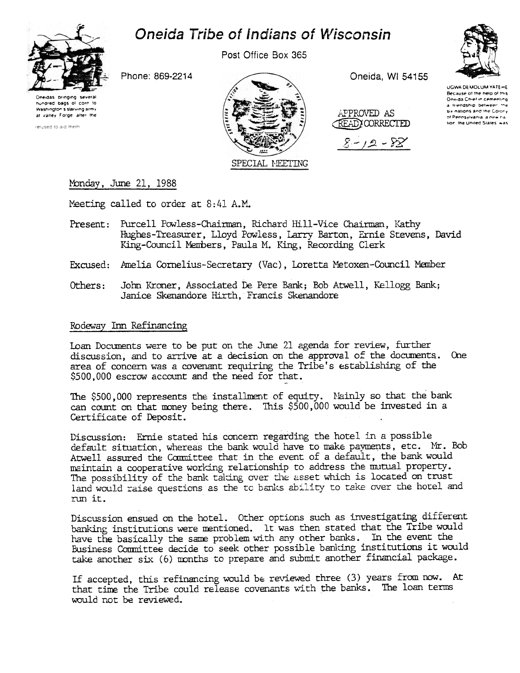

# Oneida Tribe of Indians of Wisconsin

Post Office Box 365

Oneida, WI 54155



Oneidas bringing several hundred bags of corn to Washington's starving army at valley Forge after the

relused to aid them.

SPECIAL MEETING

APPROVED AS READY CORRECTED



**HOWA DEMOLUM YATEHE** Because of the help of this Oneida Chief in cementing a friendship between the six nations and the Colony of Pennsylvania, a new na lion, the United States, was

# Monday, June 21, 1988

Meeting called to order at 8:41 A.M.

Phone: 869-2214

- Present: Purcell Powless-Chairman, Richard Hill-Vice Chairman, Kathy Hughes-Treasurer, Lloyd Powless, Larry Barton, Ernie Stevens, David King-Council Members, Paula M. King, Recording Clerk
- Excused: Amelia Cornelius-Secretary (Vac), Loretta Metoxen-Council Member
- John Kroner, Associated De Pere Bank; Bob Atwell, Kellogg Bank; Others: Janice Skenandore Hirth, Francis Skenandore

## Rodeway Inn Refinancing

Loan Documents were to be put on the June 21 agenda for review, further discussion, and to arrive at a decision on the approval of the documents. One area of concern was a covenant requiring the Tribe's establishing of the \$500,000 escrow account and the need for that.

The \$500,000 represents the installment of equity. Nainly so that the bank can count on that money being there. This \$500,000 would be invested in a Certificate of Deposit.

Discussion: Ernie stated his concern regarding the hotel in a possible default situation, whereas the bank would have to make payments, etc. Mr. Bob Atwell assured the Committee that in the event of a default, the bank would maintain a cooperative working relationship to address the mutual property. The possibility of the bank taking over the asset which is located on trust land would raise questions as the to banks ability to take over the hotel and run it.

Discussion ensued on the hotel. Other options such as investigating different banking institutions were mentioned. It was then stated that the Tribe would have the basically the same problem with any other banks. In the event the Business Committee decide to seek other possible banking institutions it would take another six (6) months to prepare and submit another financial package.

If accepted, this refinancing would be reviewed three (3) years from now. At that time the Tribe could release covenants with the banks. The loan terms would not be reviewed.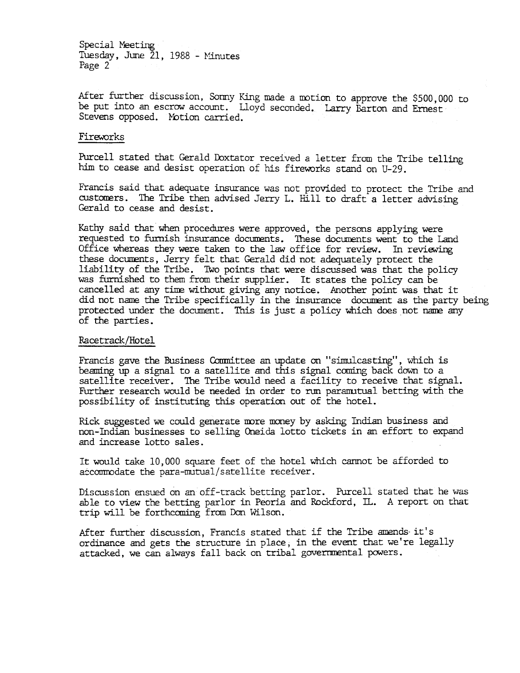Special Meeting Tuesday, June 21, 1988 - Minutes Page 2

After further discussion, Sonny King made a motion to approve the \$500,000 to be put into an escrow account. Lloyd seconded. Larry Barton and Ernest Stevens opposed. Motion carried.

### Fireworks

Purcell stated that Gerald Doxtator received a letter from the Tribe telling him to cease and desist operation of his fireworks stand on U-29.

Francis said that adequate insurance was not provided to protect the Tribe and customers. The Tribe then advised Jerry L. Hill to draft a letter advising Gerald to cease and desist.

Kathy said that when procedures were approved, the persons applying were requested to furnish insurance documents. These documents went to the Land Office whereas they were taken to the law office for review. In reviewing these documents, Jerry felt that Gerald did not adequately protect the liability of the Tribe. Two points that were discussed was that the policy was furnished to them from their supplier. It states the policy can be cancelled at any time without giving any notice. Another point was that it did not name the Tribe specifically in the insurance document as the party being protected under the document. This is just a policy Whidh does not name any of the parties.

#### Racetrack/Hotel

Francis gave the Business Committee an update on "simulcasting", which is beaming up a signal to a satellite and this signal coming back down to a satellite receiver. The Tribe would need a facility to receive that signal. Further research would be needed in order to rum paramutual betting with the possibility of instituting this operation out of the hotel.

Rick suggested we could generate more money by asking Indian business and non-Indian businesses to selling Oneida lotto tidkets in an effort to expand and increase lotto sales.

It would take 10,000 square feet of the hotel which cannot be afforded to aécommodate the para-mutual/satellite receiver.

Discussion ensued on an off-track betting parlor. Purcell stated that he was able to view the betting parlor in Peoria and Rockford, IL. A report on that trip will be forthcoming from Don Wilson.

After further discussion, Francis stated that if the Tribe amends- it's ordinance and gets the structure in place; in the event that we're legally attacked, we can always fall back on tribal governmental powers.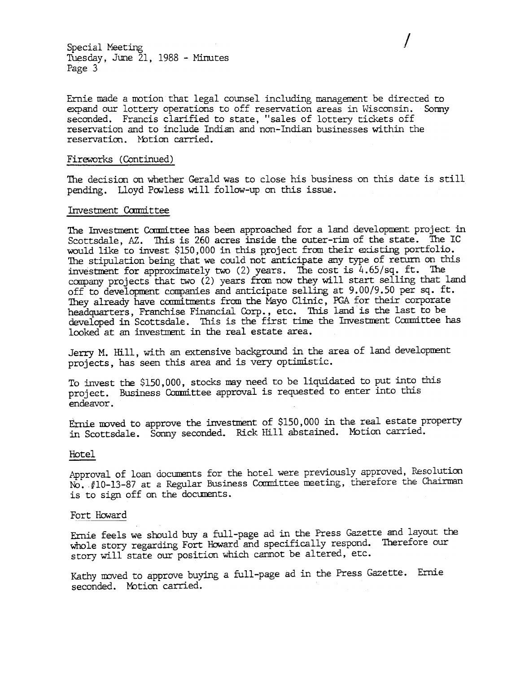Special Meeting Tuesday, June 21, 1988 - Minutes Page 3

Ernie made a motion that legal counsel including management be directed to expand our lottery operations to off reservation areas in Wisconsin. Sommy expand our lottery operations to off reservation areas in Wisconsin. seconded. Francis clarified to state, "sales of lottery tickets off reservation and to include Indian and non-Indian businesses within the reservation. Notion carried.

I

#### Fireworks (Continued)

The decision on whether Gerald was to close his business on this date is still pending. Lloyd Powless will follow-up on this issue.

#### Investment Cam1ittee

The Investment Committee has been approached for a land development project in Scottsdale, AZ. This is 260 acres inside the outer-rim of the state. The IC would like to invest \$150,000 in this project from their existing portfolio. The stipulation being that we could not anticipate any type of return on this investment for approximately two  $(2)$  years. The cost is 4.65/sq. ft. The company projects that two (2) years fran now they will start selling that land off to development companies and anticipate selling at 9.00/9.50 per sq. ft. They already have commitments from the Mayo Clinic, PGA for their corporate headquarters, Franchise Financial Corp., etc. This land is the last to be developed in Scottsdale. This is the first time the Investment Committee has looked at an investment in the real estate area.

Jerry M. Hill, with an extensive background in the area of land development projects, has seen this area and is very optimistic.

To invest the \$150, 000, stodks may need to be liquidated to put into this project. Business Committee approval is requested to enter into this endeavor.

Ernie moved to approve the investment of \$150,000 in the real estate property in Scottsdale. Sonny seconded. Rick Hill abstained. Motion carried.

#### Hotel

Approval of loan documents for the hotel were previously approved, Resolution NO. #10-13-87 at a Regular Business Committee meeting, therefore the Chairman is to sign off on the documents.

#### Fort Howard

Ernie feels we should buy a full-page ad in the Press Gazette and layout the whole story regarding Fort Howard and specifically respond. Therefore our story will state our position which cannot be altered, etc.

Kathy moved to approve buying a full-page ad in the Press Gazette. Ernie seconded. Motion carried.